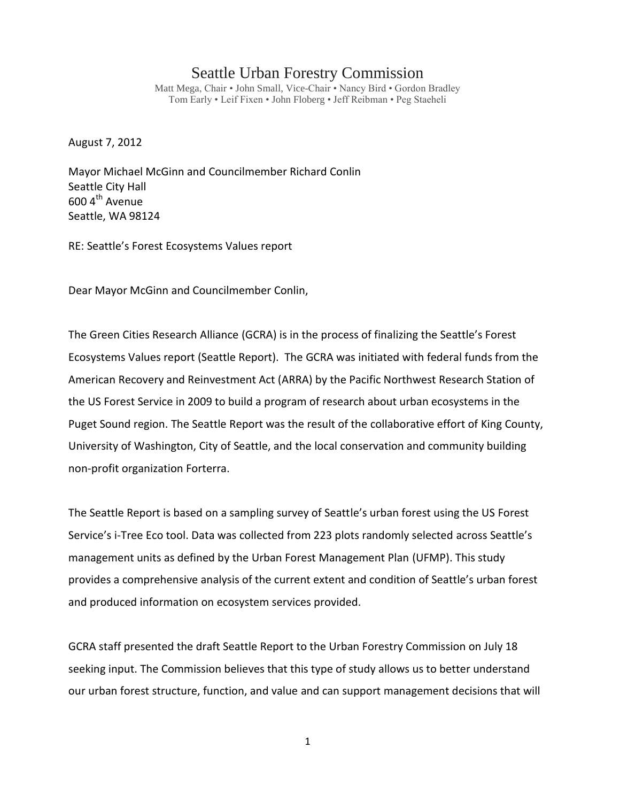## Seattle Urban Forestry Commission

Matt Mega, Chair • John Small, Vice-Chair • Nancy Bird • Gordon Bradley Tom Early • Leif Fixen • John Floberg • Jeff Reibman • Peg Staeheli

August 7, 2012

Mayor Michael McGinn and Councilmember Richard Conlin Seattle City Hall  $600$  4<sup>th</sup> Avenue Seattle, WA 98124

RE: Seattle's Forest Ecosystems Values report

Dear Mayor McGinn and Councilmember Conlin,

The Green Cities Research Alliance (GCRA) is in the process of finalizing the Seattle's Forest Ecosystems Values report (Seattle Report). The GCRA was initiated with federal funds from the American Recovery and Reinvestment Act (ARRA) by the Pacific Northwest Research Station of the US Forest Service in 2009 to build a program of research about urban ecosystems in the Puget Sound region. The Seattle Report was the result of the collaborative effort of King County, University of Washington, City of Seattle, and the local conservation and community building non-profit organization Forterra.

The Seattle Report is based on a sampling survey of Seattle's urban forest using the US Forest Service's i-Tree Eco tool. Data was collected from 223 plots randomly selected across Seattle's management units as defined by the Urban Forest Management Plan (UFMP). This study provides a comprehensive analysis of the current extent and condition of Seattle's urban forest and produced information on ecosystem services provided.

GCRA staff presented the draft Seattle Report to the Urban Forestry Commission on July 18 seeking input. The Commission believes that this type of study allows us to better understand our urban forest structure, function, and value and can support management decisions that will

1